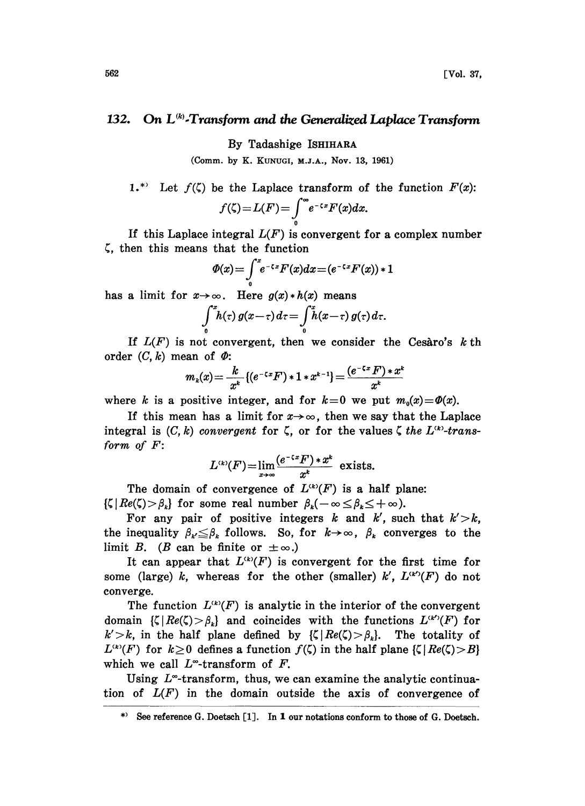## 132. On  $L^{(k)}$ -Transform and the Generalized Laplace Transform

By Tadashige ISHIHARA

(Comm. by K. KUNUGI, M.J.A., Nov. 13, 1961)

1.\* Let 
$$
f(\zeta)
$$
 be the Laplace transform of the function  $F(x)$ :  

$$
f(\zeta) = L(F) = \int_{0}^{\infty} e^{-\zeta x} F(x) dx.
$$

If this Laplace integral  $L(F)$  is convergent for a complex number  $\zeta$ , then this means that the function

$$
\varPhi(x) = \int\limits_{0}^{x} e^{-\zeta x} F(x) dx = (e^{-\zeta x} F(x)) * 1
$$

has a limit for  $x \rightarrow \infty$ . Here  $g(x) * h(x)$  means

$$
\int\limits_{0}^{x}h(\tau)\,g(x-\tau)\,d\tau=\int\limits_{0}^{x}\tilde{h}(x-\tau)\,g(\tau)\,d\tau.
$$

If  $L(F)$  is not convergent, then we consider the Cesaro's k th order  $(C, k)$  mean of  $\Phi$ :

$$
m_k(x) = \frac{k}{x^k} \left\{ (e^{-\zeta x} F) * 1 * x^{k-1} \right\} = \frac{(e^{-\zeta x} F) * x^k}{x^k}
$$

where k is a positive integer, and for  $k=0$  we put  $m_0(x)=\Phi(x)$ .

If this mean has a limit for  $x \rightarrow \infty$ , then we say that the Laplace integral is  $(C, k)$  convergent for  $\zeta$ , or for the values  $\zeta$  the  $L^{(k)}$ -transform of  $F$ :

$$
L^{(k)}(F) = \lim_{x \to \infty} \frac{(e^{-\zeta x} F) * x^k}{x^k}
$$
 exists.

The domain of convergence of  $L^{(k)}(F)$  is a half plane:  $\{\zeta | Re(\zeta) > \beta_k\}$  for some real number  $\beta_k(-\infty \leq \beta_k \leq +\infty)$ .

For any pair of positive integers k and k', such that  $k' > k$ , the inequality  $\beta_{k} \leq \beta_{k}$  follows. So, for  $k \to \infty$ ,  $\beta_{k}$  converges to the limit B. (B can be finite or  $\pm \infty$ .)

It can appear that  $L^{(k)}(F)$  is convergent for the first time for some (large) k, whereas for the other (smaller) k',  $L^{(k)}(F)$  do not converge.

The function  $L^{(k)}(F)$  is analytic in the interior of the convergent domain  $\{\zeta | Re(\zeta) > \beta_{\kappa}\}\$  and coincides with the functions  $L^{(\kappa)}(F)$  for  $k' > k$ , in the half plane defined by  $\{\zeta | Re(\zeta) > \beta_k\}$ . The totality of  $L^{(k)}(F)$  for  $k \ge 0$  defines a function  $f(\zeta)$  in the half plane  $\{\zeta | Re(\zeta) > B\}$ which we call  $L^{\infty}$ -transform of F.

Using  $L^{\infty}$ -transform, thus, we can examine the analytic continuation of  $L(F)$  in the domain outside the axis of convergence of

<sup>\*)</sup> See reference G. Doetsch [1]. In 1 our notations conform to those of G. Doetsch.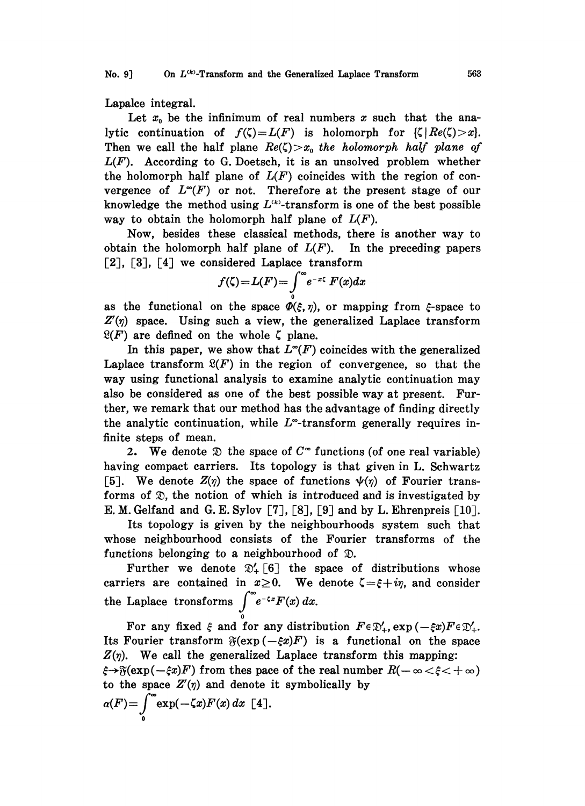No. 9] On  $L^{(k)}$ -Transform and the Generalized Laplace Transform  $563$ 

Lapalce integral.

Let  $x_0$  be the infinimum of real numbers x such that the analytic continuation of  $f(\zeta)=L(F)$  is holomorph for  $\{\zeta | Re(\zeta) > x\}.$ Then we call the half plane  $Re(\zeta)>x_0$  the holomorph half plane of  $L(F)$ . According to G. Doetsch, it is an unsolved problem whether the holomorph half plane of  $L(F)$  coincides with the region of convergence of  $L^{\infty}(F)$  or not. Therefore at the present stage of our knowledge the method using  $L^{(k)}$ -transform is one of the best possible way to obtain the holomorph half plane of  $L(F)$ .

Now, besides these classical methods, there is another way to obtain the holomorph half plane of  $L(F)$ . In the preceding papers  $\lceil 2 \rceil$ ,  $\lceil 3 \rceil$ ,  $\lceil 4 \rceil$  we considered Laplace transform

$$
f(\zeta) = L(F) = \int_{0}^{\infty} e^{-x\zeta} F(x) dx
$$

 $f(\zeta) = L(F) = \int_{0}^{R} e^{-x\zeta} F(x) dx$ <br>as the functional on the space  $\Phi(\xi, \eta)$ , or mapping from  $\xi$ -space to  $Z(\eta)$  space. Using such a view, the generalized Laplace transform  $\mathfrak{L}(F)$  are defined on the whole  $\zeta$  plane.

In this paper, we show that  $L^{\infty}(F)$  coincides with the generalized Laplace transform  $\mathfrak{L}(F)$  in the region of convergence, so that the way using functional analysis to examine analytic continuation may also be considered as one of the best possible way at present. Further, we remark that our method has the advantage of finding directly the analytic continuation, while  $L^{\infty}$ -transform generally requires infinite steps of mean.

2. We denote  $\mathfrak D$  the space of  $C^{\infty}$  functions (of one real variable) having compact carriers. Its topology is that given in L. Schwartz [5]. We denote  $Z(\eta)$  the space of functions  $\psi(\eta)$  of Fourier transforms of  $\mathfrak{D}$ , the notion of which is introduced and is investigated by E. M. Gelfand and G. E. Sylov [7], [8], [9] and by L. Ehrenpreis [10].

Its topology is given by the neighbourhoods system such that whose neighbourhood consists of the Fourier transforms of the functions belonging to a neighbourhood of  $\mathcal{D}$ .

Further we denote  $\mathfrak{D}'_+$  [6] the space of distributions whose carriers are contained in  $x \ge 0$ . We denote  $\zeta = \xi + i\eta$ , and consider the Laplace tronsforms  $\int_{-\infty}^{\infty} e^{-\zeta x} F(x) dx$ .

Its Fourier transform  $\mathfrak{F}(\exp(-\xi x)F)$  is a functional on the space For any fixed  $\xi$  and for any distribution  $F \in \mathfrak{D}'_+$ ,  $\exp(-\xi x) F \in \mathfrak{D}'_+.$  $Z(\eta)$ . We call the generalized Laplace transform this mapping:  $\hat{\xi} \to \hat{\gamma}(\exp(-\xi x)F)$  from thes pace of the real number  $R(-\infty < \xi < +\infty)$ <br>to the space  $Z'(\eta)$  and denote it symbolically by<br> $\alpha(F) = \int_{-\infty}^{\infty} \exp(-\zeta x) F(x) dx$  [4]. to the space  $Z'(\eta)$  and denote it symbolically by  $\alpha(F) = \int_{0}^{\infty} \exp(-\zeta x) F(x) dx$  [4].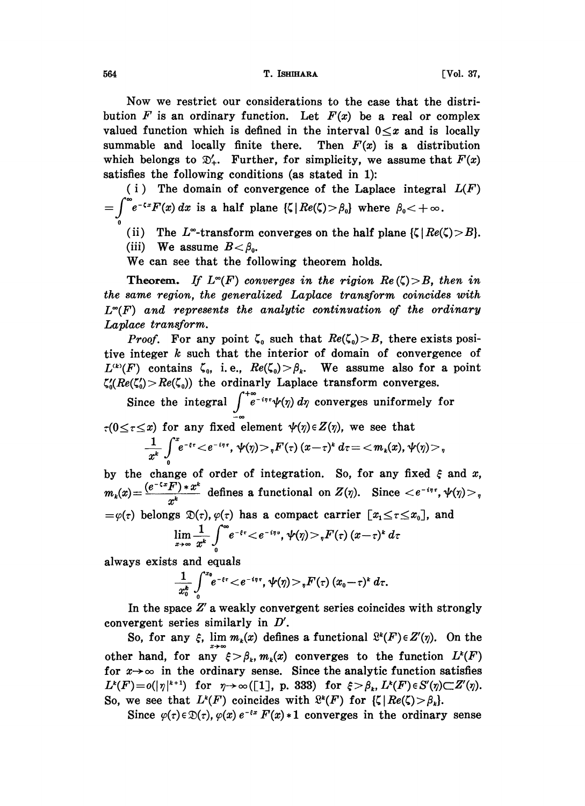564 **T. ISHIHARA T. ISHIHAR VOL. 37,** 

Now we restrict our considerations to the case that the distribution F is an ordinary function. Let  $F(x)$  be a real or complex valued function which is defined in the interval  $0 \leq x$  and is locally summable and locally finite there. Then  $F(x)$  is a distribution which belongs to  $\mathfrak{D}'_+$ . Further, for simplicity, we assume that  $F(x)$ satisfies the following conditions (as stated in 1):

(i) The domain of convergence of the Laplace integral  $L(F)$  $=-\int_{-\infty}^{\infty}e^{-\zeta x}F(x) dx$  is a half plane  $\{\zeta | Re(\zeta) > \beta_0\}$  where  $\beta_0 < +\infty$ .

(ii) The L<sup>-\*</sup>-transform converges on the half plane  $\{\zeta | Re(\zeta) > B\}.$ 

(iii) We assume  $B < \beta_0$ .

We can see that the following theorem holds.

**Theorem.** If  $L^{\infty}(F)$  converges in the rigion  $Re(\zeta) > B$ , then in the same region, the generalized Laplace transform coincides with  $L^{\infty}(F)$  and represents the analytic continuation of the ordinary Laplace transform.

*Proof.* For any point  $\zeta_0$  such that  $Re(\zeta_0) > B$ , there exists positive integer k such that the interior of domain of convergence of  $L^{(k)}(F)$  contains  $\zeta_0$ , i.e.,  $Re(\zeta_0) > \beta_k$ . We assume also for a point  $\zeta_0'(Re(\zeta_0)>Re(\zeta_0))$  the ordinarly Laplace transform converges.

Since the integral  $\int_{0}^{+\infty} e^{-i\eta \tau} \psi(\eta) d\eta$  converges uniformely for  $r(0 \le r \le x)$  for any fixed element  $\psi(\eta) \in Z(\eta)$ , we see that  $-\frac{1}{x^k}\int\limits_{0}^{x}e^{-\epsilon\tau}\!<\!e^{-i\eta\tau},\,\psi(\eta)\!>,_{\eta}F(\tau)\,(x\!-\!\tau)^k\,d\tau\!=\!<\!m_k(x),\psi(\eta)\!>,_{\eta}$ 

by the change of order of integration. So, for any fixed  $\xi$  and  $x$ ,  $m_k(x) = \frac{(e^{-\zeta x}F) * x^k}{x^k}$  defines a functional on  $Z(\gamma)$ . Since  $\langle e^{-\zeta x}, \psi(\gamma) \rangle$ ,  $=\varphi(\tau)$  belongs  $\mathfrak{D}(\tau)$ ,  $\varphi(\tau)$  has a compact carrier  $[x_1 \leq \tau \leq x_0]$ , and

$$
\lim_{x\to\infty}\frac{1}{x^k}\int_0^{\infty}e^{-\xi\tau}\leftarrow e^{-i\eta v}, \ \psi(\eta)>,F(\tau)(x-\tau)^k\ d\tau
$$

always exists and equals

$$
\frac{1}{x_0^k}\int\limits_0^{x_0} e^{-\epsilon \tau}\!<\! e^{-i\eta\tau}, \, \psi(\eta)\!>\! ,\! F(\tau)\,(x_0\!-\!\tau)^k\,d\tau.
$$

In the space  $Z'$  a weakly convergent series coincides with strongly convergent series similarly in  $D'$ .

So, for any  $\xi$ ,  $\lim_{k \to \infty} m_k(x)$  defines a functional  $\mathcal{L}^k(F) \in Z'(\eta)$ . On the other hand, for any  $\xi > \beta_k$ ,  $m_k(x)$  converges to the function  $L^k(F)$ other hand, for any  $\xi > \beta_k$ ,  $m_k(x)$  converges to the function  $L^k(F)$ <br>for  $x \to \infty$  in the ordinary sense. Since the analytic function satisfies<br> $L^k(F) = c(|x|^{k+1})$  for  $x \to \infty$  (51.  $x \to 222$ ) for  $\xi > 0$ ,  $L^k(F) \in S'(\infty) \subset$ for  $x \to \infty$  in the ordinary sense. Since the analytic function satisfies  $L^k(F) = o(|\gamma|^{k+1})$  for  $\eta \to \infty([1], \, p.$  333) for  $\xi > \beta_k$ ,  $L^k(F) \in S'(\eta) \subset Z'(\eta)$ . So, we see that  $L^k(F)$  coincides with  $\mathbb{R}^k(F)$  for  $\{\zeta | Re(\zeta) > \beta_k\}.$ 

Since  $\varphi(\tau) \in \mathcal{D}(\tau)$ ,  $\varphi(x) e^{-\epsilon x} F(x) * 1$  converges in the ordinary sense